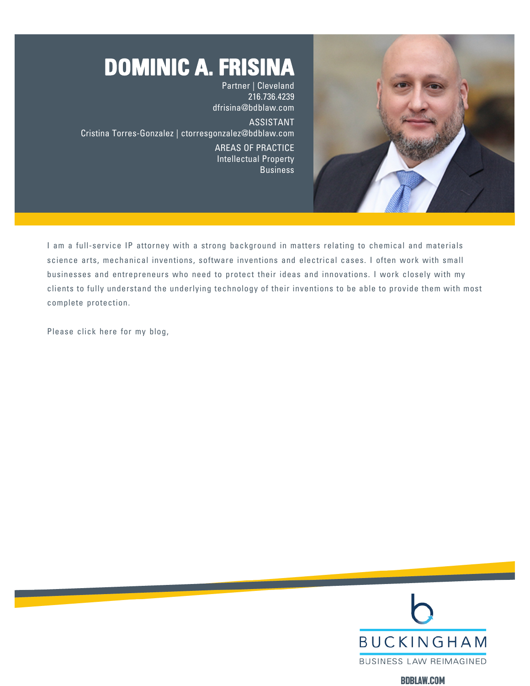

# **DOMINIC A. FRISINA** Partner | Cleveland

216.736.4239 [dfrisina@bdblaw.com](mailto:dfrisina@bdblaw.com) ASSISTANT Cristina Torres-Gonzalez | [ctorresgonzalez@bdblaw.com](mailto:ctorresgonzalez@bdblaw.com) AREAS OF PRACTICE Intellectual Property **Business** 

I am a full-service IP attorney with a strong background in matters relating to chemical and materials science arts, mechanical inventions, software inventions and electrical cases. I often work with small businesses and entrepreneurs who need to protect their ideas and innovations. I work closely with my clients to fully understand the underlying technology of their inventions to be able to provide them with most complete protection.

Please click here for my blog,



**BDBLAW.COM**